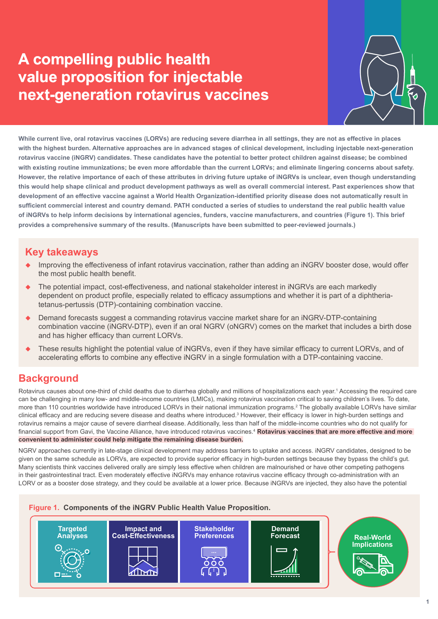# **A compelling public health value proposition for injectable next-generation rotavirus vaccines**



**While current live, oral rotavirus vaccines (LORVs) are reducing severe diarrhea in all settings, they are not as effective in places with the highest burden. Alternative approaches are in advanced stages of clinical development, including injectable next-generation rotavirus vaccine (iNGRV) candidates. These candidates have the potential to better protect children against disease; be combined with existing routine immunizations; be even more affordable than the current LORVs; and eliminate lingering concerns about safety. However, the relative importance of each of these attributes in driving future uptake of iNGRVs is unclear, even though understanding this would help shape clinical and product development pathways as well as overall commercial interest. Past experiences show that development of an effective vaccine against a World Health Organization-identified priority disease does not automatically result in sufficient commercial interest and country demand. PATH conducted a series of studies to understand the real public health value of iNGRVs to help inform decisions by international agencies, funders, vaccine manufacturers, and countries (Figure 1). This brief provides a comprehensive summary of the results. (Manuscripts have been submitted to peer-reviewed journals.)**

### **Key takeaways**

- Improving the effectiveness of infant rotavirus vaccination, rather than adding an iNGRV booster dose, would offer the most public health benefit.
- The potential impact, cost-effectiveness, and national stakeholder interest in iNGRVs are each markedly dependent on product profile, especially related to efficacy assumptions and whether it is part of a diphtheriatetanus-pertussis (DTP)-containing combination vaccine.
- Demand forecasts suggest a commanding rotavirus vaccine market share for an iNGRV-DTP-containing combination vaccine (iNGRV-DTP), even if an oral NGRV (oNGRV) comes on the market that includes a birth dose and has higher efficacy than current LORVs.
- These results highlight the potential value of iNGRVs, even if they have similar efficacy to current LORVs, and of accelerating efforts to combine any effective iNGRV in a single formulation with a DTP-containing vaccine.

## **Background**

Rotavirus causes about one-third of child deaths due to diarrhea globally and millions of hospitalizations each year.1 Accessing the required care can be challenging in many low- and middle-income countries (LMICs), making rotavirus vaccination critical to saving children's lives. To date, more than 110 countries worldwide have introduced LORVs in their national immunization programs.<sup>2</sup> The globally available LORVs have similar clinical efficacy and are reducing severe disease and deaths where introduced.<sup>3</sup> However, their efficacy is lower in high-burden settings and rotavirus remains a major cause of severe diarrheal disease. Additionally, less than half of the middle-income countries who do not qualify for financial support from Gavi, the Vaccine Alliance, have introduced rotavirus vaccines.<sup>4</sup> **Rotavirus vaccines that are more effective and more convenient to administer could help mitigate the remaining disease burden.**

NGRV approaches currently in late-stage clinical development may address barriers to uptake and access. iNGRV candidates, designed to be given on the same schedule as LORVs, are expected to provide superior efficacy in high-burden settings because they bypass the child's gut. Many scientists think vaccines delivered orally are simply less effective when children are malnourished or have other competing pathogens in their gastrointestinal tract. Even moderately effective iNGRVs may enhance rotavirus vaccine efficacy through co-administration with an LORV or as a booster dose strategy, and they could be available at a lower price. Because iNGRVs are injected, they also have the potential

#### **Figure 1. Components of the iNGRV Public Health Value Proposition.**

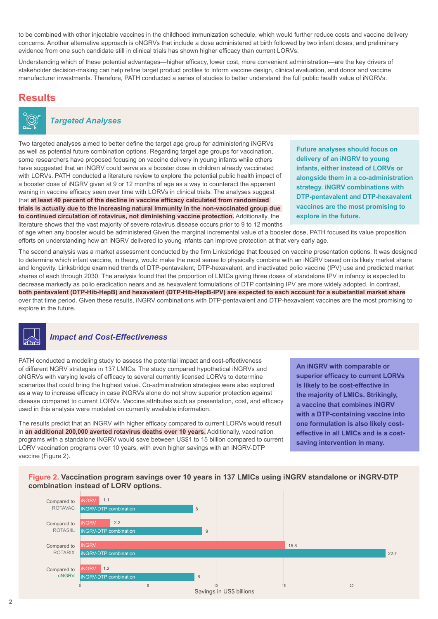to be combined with other injectable vaccines in the childhood immunization schedule, which would further reduce costs and vaccine delivery concerns. Another alternative approach is oNGRVs that include a dose administered at birth followed by two infant doses, and preliminary evidence from one such candidate still in clinical trials has shown higher efficacy than current LORVs.

Understanding which of these potential advantages—higher efficacy, lower cost, more convenient administration—are the key drivers of stakeholder decision-making can help refine target product profiles to inform vaccine design, clinical evaluation, and donor and vaccine manufacturer investments. Therefore, PATH conducted a series of studies to better understand the full public health value of iNGRVs.

### **Results**



#### *Targeted Analyses*

Two targeted analyses aimed to better define the target age group for administering iNGRVs as well as potential future combination options. Regarding target age groups for vaccination, some researchers have proposed focusing on vaccine delivery in young infants while others have suggested that an iNGRV could serve as a booster dose in children already vaccinated with LORVs. PATH conducted a literature review to explore the potential public health impact of a booster dose of iNGRV given at 9 or 12 months of age as a way to counteract the apparent waning in vaccine efficacy seen over time with LORVs in clinical trials. The analyses suggest that **at least 40 percent of the decline in vaccine efficacy calculated from randomized trials is actually due to the increasing natural immunity in the non-vaccinated group due to continued circulation of rotavirus, not diminishing vaccine protection.** Additionally, the literature shows that the vast majority of severe rotavirus disease occurs prior to 9 to 12 months

**Future analyses should focus on delivery of an iNGRV to young infants, either instead of LORVs or alongside them in a co-administration strategy. iNGRV combinations with DTP-pentavalent and DTP-hexavalent vaccines are the most promising to explore in the future.**

of age when any booster would be administered Given the marginal incremental value of a booster dose, PATH focused its value proposition efforts on understanding how an iNGRV delivered to young infants can improve protection at that very early age.

The second analysis was a market assessment conducted by the firm Linksbridge that focused on vaccine presentation options. It was designed to determine which infant vaccine, in theory, would make the most sense to physically combine with an iNGRV based on its likely market share and longevity. Linksbridge examined trends of DTP-pentavalent, DTP-hexavalent, and inactivated polio vaccine (IPV) use and predicted market shares of each through 2030. The analysis found that the proportion of LMICs giving three doses of standalone IPV in infancy is expected to decrease markedly as polio eradication nears and as hexavalent formulations of DTP containing IPV are more widely adopted. In contrast, **both pentavalent (DTP-Hib-HepB) and hexavalent (DTP-Hib-HepB-IPV) are expected to each account for a substantial market share** over that time period. Given these results, iNGRV combinations with DTP-pentavalent and DTP-hexavalent vaccines are the most promising to explore in the future.



#### *Impact and Cost-Effectiveness*

PATH conducted a modeling study to assess the potential impact and cost-effectiveness of different NGRV strategies in 137 LMICs. The study compared hypothetical iNGRVs and oNGRVs with varying levels of efficacy to several currently licensed LORVs to determine scenarios that could bring the highest value. Co-administration strategies were also explored as a way to increase efficacy in case iNGRVs alone do not show superior protection against disease compared to current LORVs. Vaccine attributes such as presentation, cost, and efficacy used in this analysis were modeled on currently available information.

The results predict that an iNGRV with higher efficacy compared to current LORVs would result in **an additional 200,000 averted rotavirus deaths over 10 years.** Additionally, vaccination programs with a standalone iNGRV would save between US\$1 to 15 billion compared to current LORV vaccination programs over 10 years, with even higher savings with an iNGRV-DTP vaccine (Figure 2).

**An iNGRV with comparable or superior efficacy to current LORVs is likely to be cost-effective in the majority of LMICs. Strikingly, a vaccine that combines iNGRV with a DTP-containing vaccine into one formulation is also likely costeffective in all LMICs and is a costsaving intervention in many.**

**Figure 2. Vaccination program savings over 10 years in 137 LMICs using iNGRV standalone or iNGRV-DTP combination instead of LORV options.**

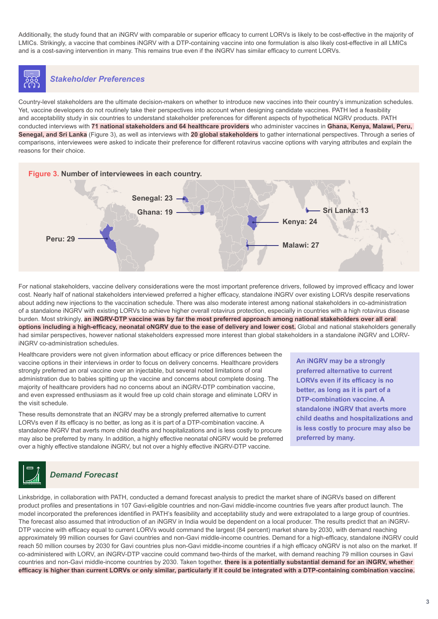Additionally, the study found that an iNGRV with comparable or superior efficacy to current LORVs is likely to be cost-effective in the majority of LMICs. Strikingly, a vaccine that combines iNGRV with a DTP-containing vaccine into one formulation is also likely cost-effective in all LMICs and is a cost-saving intervention in many. This remains true even if the iNGRV has similar efficacy to current LORVs.

# *Stakeholder Preferences*

Country-level stakeholders are the ultimate decision-makers on whether to introduce new vaccines into their country's immunization schedules. Yet, vaccine developers do not routinely take their perspectives into account when designing candidate vaccines. PATH led a feasibility and acceptability study in six countries to understand stakeholder preferences for different aspects of hypothetical NGRV products. PATH conducted interviews with **71 national stakeholders and 64 healthcare providers** who administer vaccines in **Ghana, Kenya, Malawi, Peru, Senegal, and Sri Lanka** (Figure 3), as well as interviews with **20 global stakeholders** to gather international perspectives. Through a series of comparisons, interviewees were asked to indicate their preference for different rotavirus vaccine options with varying attributes and explain the reasons for their choice.



For national stakeholders, vaccine delivery considerations were the most important preference drivers, followed by improved efficacy and lower cost. Nearly half of national stakeholders interviewed preferred a higher efficacy, standalone iNGRV over existing LORVs despite reservations about adding new injections to the vaccination schedule. There was also moderate interest among national stakeholders in co-administration of a standalone iNGRV with existing LORVs to achieve higher overall rotavirus protection, especially in countries with a high rotavirus disease burden. Most strikingly, **an iNGRV-DTP vaccine was by far the most preferred approach among national stakeholders over all oral options including a high-efficacy, neonatal oNGRV due to the ease of delivery and lower cost.** Global and national stakeholders generally had similar perspectives, however national stakeholders expressed more interest than global stakeholders in a standalone iNGRV and LORViNGRV co-administration schedules.

Healthcare providers were not given information about efficacy or price differences between the vaccine options in their interviews in order to focus on delivery concerns. Healthcare providers strongly preferred an oral vaccine over an injectable, but several noted limitations of oral administration due to babies spitting up the vaccine and concerns about complete dosing. The majority of healthcare providers had no concerns about an iNGRV-DTP combination vaccine, and even expressed enthusiasm as it would free up cold chain storage and eliminate LORV in the visit schedule.

These results demonstrate that an iNGRV may be a strongly preferred alternative to current LORVs even if its efficacy is no better, as long as it is part of a DTP-combination vaccine. A standalone iNGRV that averts more child deaths and hospitalizations and is less costly to procure may also be preferred by many. In addition, a highly effective neonatal oNGRV would be preferred over a highly effective standalone iNGRV, but not over a highly effective iNGRV-DTP vaccine.

**An iNGRV may be a strongly preferred alternative to current LORVs even if its efficacy is no better, as long as it is part of a DTP-combination vaccine. A standalone iNGRV that averts more child deaths and hospitalizations and is less costly to procure may also be preferred by many.**



Linksbridge, in collaboration with PATH, conducted a demand forecast analysis to predict the market share of iNGRVs based on different product profiles and presentations in 107 Gavi-eligible countries and non-Gavi middle-income countries five years after product launch. The model incorporated the preferences identified in PATH's feasibility and acceptability study and were extrapolated to a large group of countries. The forecast also assumed that introduction of an iNGRV in India would be dependent on a local producer. The results predict that an iNGRV-DTP vaccine with efficacy equal to current LORVs would command the largest (84 percent) market share by 2030, with demand reaching approximately 99 million courses for Gavi countries and non-Gavi middle-income countries. Demand for a high-efficacy, standalone iNGRV could reach 50 million courses by 2030 for Gavi countries plus non-Gavi middle-income countries if a high efficacy oNGRV is not also on the market. If co-administered with LORV, an iNGRV-DTP vaccine could command two-thirds of the market, with demand reaching 79 million courses in Gavi countries and non-Gavi middle-income countries by 2030. Taken together, **there is a potentially substantial demand for an iNGRV, whether efficacy is higher than current LORVs or only similar, particularly if it could be integrated with a DTP-containing combination vaccine.**